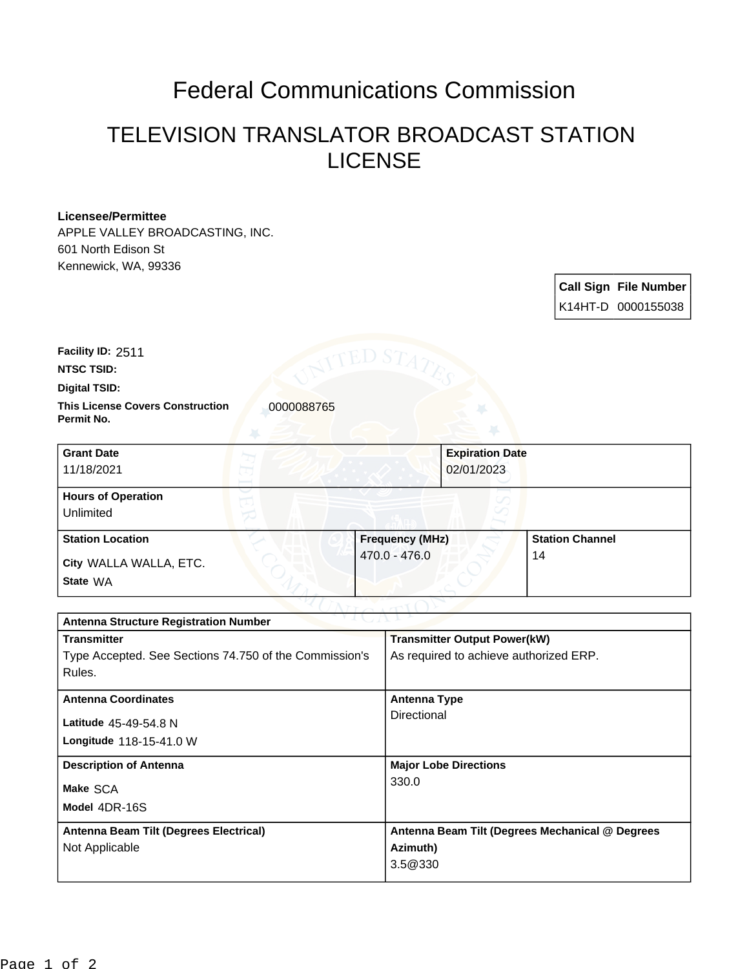## Federal Communications Commission

## TELEVISION TRANSLATOR BROADCAST STATION LICENSE

## **Licensee/Permittee**

APPLE VALLEY BROADCASTING, INC. 601 North Edison St Kennewick, WA, 99336

> **Call Sign File Number** K14HT-D 0000155038

**Facility ID:** 2511

**NTSC TSID:**

**Digital TSID:**

**This License Covers Construction**  0000088765 **Permit No.**

| <b>Grant Date</b><br>11/18/2021        | <b>Expiration Date</b><br>02/01/2023 |                        |
|----------------------------------------|--------------------------------------|------------------------|
| <b>Hours of Operation</b><br>Unlimited |                                      |                        |
| <b>Station Location</b>                | <b>Frequency (MHz)</b>               | <b>Station Channel</b> |
| City WALLA WALLA, ETC.<br>State WA     | $470.0 - 476.0$                      | 14                     |

| TYJU. AL<br><b>Antenna Structure Registration Number</b> |                                                 |  |
|----------------------------------------------------------|-------------------------------------------------|--|
| <b>Transmitter</b>                                       | <b>Transmitter Output Power(kW)</b>             |  |
| Type Accepted. See Sections 74.750 of the Commission's   | As required to achieve authorized ERP.          |  |
| Rules.                                                   |                                                 |  |
| <b>Antenna Coordinates</b>                               | <b>Antenna Type</b>                             |  |
| Latitude 45-49-54.8 N                                    | Directional                                     |  |
| Longitude 118-15-41.0 W                                  |                                                 |  |
| <b>Description of Antenna</b>                            | <b>Major Lobe Directions</b>                    |  |
| Make SCA                                                 | 330.0                                           |  |
| Model 4DR-16S                                            |                                                 |  |
| Antenna Beam Tilt (Degrees Electrical)                   | Antenna Beam Tilt (Degrees Mechanical @ Degrees |  |
| Not Applicable                                           | Azimuth)                                        |  |
|                                                          | 3.5@330                                         |  |
|                                                          |                                                 |  |